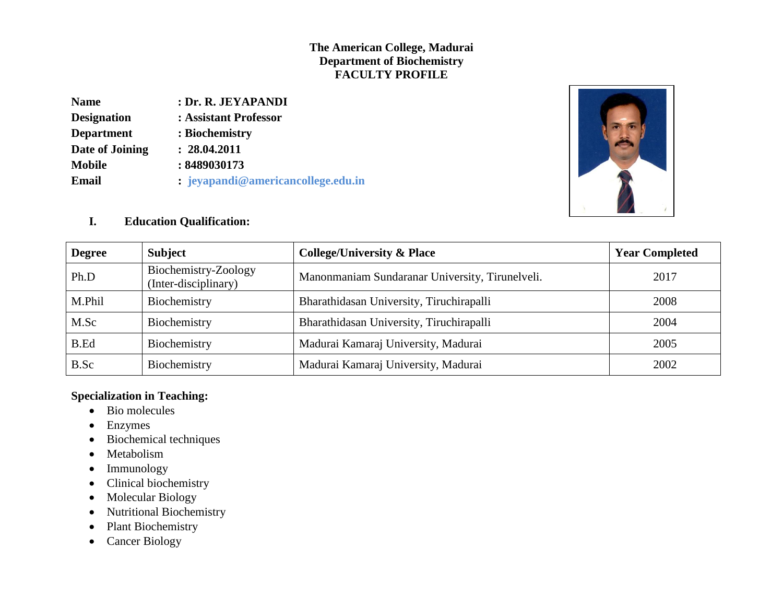# **The American College, Madurai Department of Biochemistry FACULTY PROFILE**

| <b>Name</b>        | : Dr. R. JEYAPANDI                 |
|--------------------|------------------------------------|
| <b>Designation</b> | : Assistant Professor              |
| <b>Department</b>  | : Biochemistry                     |
| Date of Joining    | : 28.04.2011                       |
| <b>Mobile</b>      | : 8489030173                       |
| Email              | : jeyapandi@americancollege.edu.in |



## **I. Education Qualification:**

| <b>Degree</b> | <b>Subject</b>                               | <b>College/University &amp; Place</b>           | <b>Year Completed</b> |
|---------------|----------------------------------------------|-------------------------------------------------|-----------------------|
| Ph.D          | Biochemistry-Zoology<br>(Inter-disciplinary) | Manonmaniam Sundaranar University, Tirunelveli. | 2017                  |
| M.Phil        | Biochemistry                                 | Bharathidasan University, Tiruchirapalli        | 2008                  |
| M.Sc          | Biochemistry                                 | Bharathidasan University, Tiruchirapalli        | 2004                  |
| B.Ed          | Biochemistry                                 | Madurai Kamaraj University, Madurai             | 2005                  |
| B.Sc          | Biochemistry                                 | Madurai Kamaraj University, Madurai             | 2002                  |

# **Specialization in Teaching:**

- Bio molecules
- Enzymes
- Biochemical techniques
- Metabolism
- Immunology
- Clinical biochemistry
- Molecular Biology
- Nutritional Biochemistry
- Plant Biochemistry
- Cancer Biology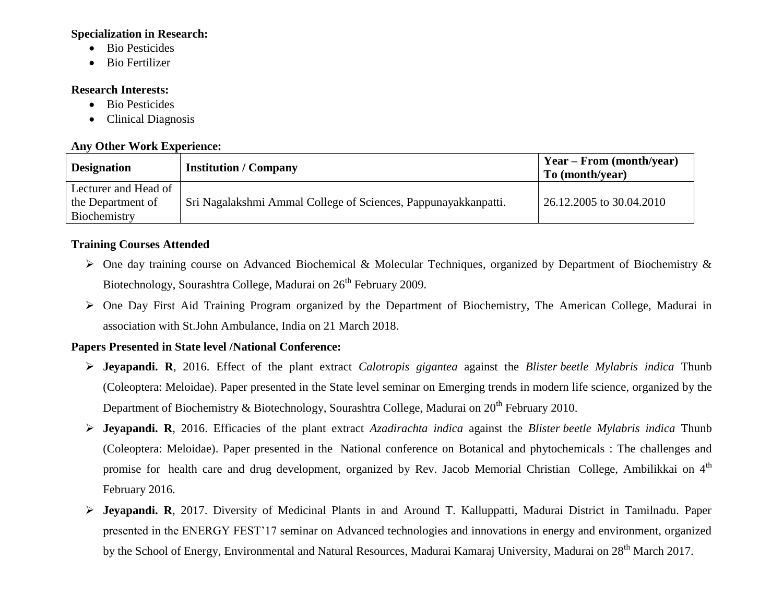#### **Specialization in Research:**

- Bio Pesticides
- Bio Fertilizer

## **Research Interests:**

- Bio Pesticides
- Clinical Diagnosis

## **Any Other Work Experience:**

| <b>Designation</b>   | <b>Institution / Company</b>                                   | $Year - From (month/year)$<br>To (month/year) |
|----------------------|----------------------------------------------------------------|-----------------------------------------------|
| Lecturer and Head of |                                                                |                                               |
| the Department of    | Sri Nagalakshmi Ammal College of Sciences, Pappunayakkanpatti. | 26.12.2005 to 30.04.2010                      |
| Biochemistry         |                                                                |                                               |

# **Training Courses Attended**

- One day training course on Advanced Biochemical & Molecular Techniques, organized by Department of Biochemistry & Biotechnology, Sourashtra College, Madurai on 26<sup>th</sup> February 2009.
- One Day First Aid Training Program organized by the Department of Biochemistry, The American College, Madurai in association with St.John Ambulance, India on 21 March 2018.

#### **Papers Presented in State level /National Conference:**

- **Jeyapandi. R**, 2016. Effect of the plant extract *Calotropis gigantea* against the *Blister beetle Mylabris indica* Thunb (Coleoptera: Meloidae). Paper presented in the State level seminar on Emerging trends in modern life science, organized by the Department of Biochemistry & Biotechnology, Sourashtra College, Madurai on 20<sup>th</sup> February 2010.
- **Jeyapandi. R**, 2016. Efficacies of the plant extract *Azadirachta indica* against the *Blister beetle Mylabris indica* Thunb (Coleoptera: Meloidae). Paper presented in the National conference on Botanical and phytochemicals : The challenges and promise for health care and drug development, organized by Rev. Jacob Memorial Christian College, Ambilikkai on 4<sup>th</sup> February 2016.
- **Jeyapandi. R**, 2017. Diversity of Medicinal Plants in and Around T. Kalluppatti, Madurai District in Tamilnadu. Paper presented in the ENERGY FEST"17 seminar on Advanced technologies and innovations in energy and environment, organized by the School of Energy, Environmental and Natural Resources, Madurai Kamaraj University, Madurai on 28<sup>th</sup> March 2017.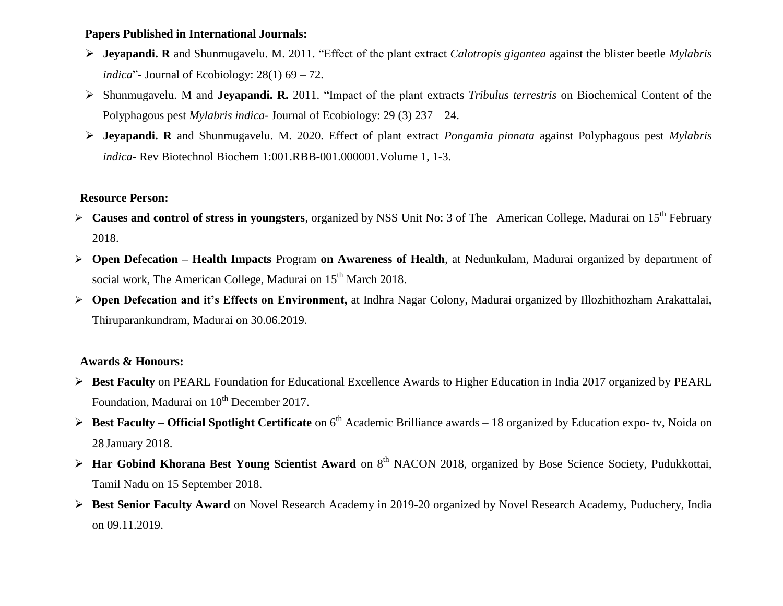#### **Papers Published in International Journals:**

- **Jeyapandi. R** and Shunmugavelu. M. 2011. "Effect of the plant extract *Calotropis gigantea* against the blister beetle *Mylabris indica*"- Journal of Ecobiology: 28(1) 69 – 72.
- Shunmugavelu. M and **Jeyapandi. R.** 2011. "Impact of the plant extracts *Tribulus terrestris* on Biochemical Content of the Polyphagous pest *Mylabris indica*- Journal of Ecobiology: 29 (3) 237 – 24.
- **Jeyapandi. R** and Shunmugavelu. M. 2020. Effect of plant extract *Pongamia pinnata* against Polyphagous pest *Mylabris indica*- Rev Biotechnol Biochem 1:001.RBB-001.000001.Volume 1, 1-3.

## **Resource Person:**

- **Causes and control of stress in youngsters**, organized by NSS Unit No: 3 of The American College, Madurai on 15<sup>th</sup> February 2018.
- **Open Defecation – Health Impacts** Program **on Awareness of Health**, at Nedunkulam, Madurai organized by department of social work, The American College, Madurai on 15<sup>th</sup> March 2018.
- **Open Defecation and it's Effects on Environment,** at Indhra Nagar Colony, Madurai organized by Illozhithozham Arakattalai, Thiruparankundram, Madurai on 30.06.2019.

# **Awards & Honours:**

- **Best Faculty** on PEARL Foundation for Educational Excellence Awards to Higher Education in India 2017 organized by PEARL Foundation, Madurai on 10<sup>th</sup> December 2017.
- **►** Best Faculty Official Spotlight Certificate on 6<sup>th</sup> Academic Brilliance awards 18 organized by Education expo- tv, Noida on 28 January 2018.
- **EXTERT FIRM FIRM FIRM THE SCIENCE ART AWARDER SCIENCE AND THE SCIENCE SOCIETY, Pudukkottai,** Pudukkottai, Tamil Nadu on 15 September 2018.
- **Best Senior Faculty Award** on Novel Research Academy in 2019-20 organized by Novel Research Academy, Puduchery, India on 09.11.2019.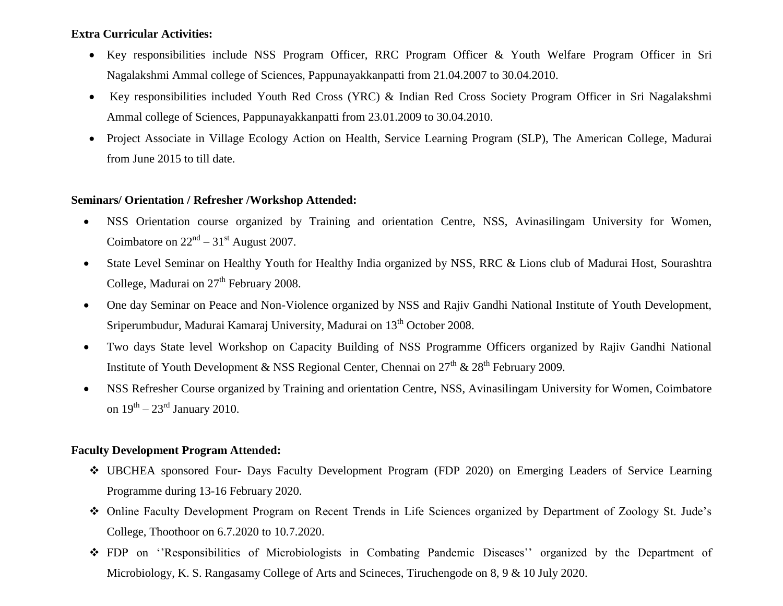## **Extra Curricular Activities:**

- Key responsibilities include NSS Program Officer, RRC Program Officer & Youth Welfare Program Officer in Sri Nagalakshmi Ammal college of Sciences, Pappunayakkanpatti from 21.04.2007 to 30.04.2010.
- Key responsibilities included Youth Red Cross (YRC) & Indian Red Cross Society Program Officer in Sri Nagalakshmi Ammal college of Sciences, Pappunayakkanpatti from 23.01.2009 to 30.04.2010.
- Project Associate in Village Ecology Action on Health, Service Learning Program (SLP), The American College, Madurai from June 2015 to till date.

#### **Seminars/ Orientation / Refresher /Workshop Attended:**

- NSS Orientation course organized by Training and orientation Centre, NSS, Avinasilingam University for Women, Coimbatore on  $22<sup>nd</sup> - 31<sup>st</sup>$  August 2007.
- State Level Seminar on Healthy Youth for Healthy India organized by NSS, RRC & Lions club of Madurai Host, Sourashtra College, Madurai on  $27<sup>th</sup>$  February 2008.
- One day Seminar on Peace and Non-Violence organized by NSS and Rajiv Gandhi National Institute of Youth Development, Sriperumbudur, Madurai Kamaraj University, Madurai on 13<sup>th</sup> October 2008.
- Two days State level Workshop on Capacity Building of NSS Programme Officers organized by Rajiv Gandhi National Institute of Youth Development & NSS Regional Center, Chennai on  $27<sup>th</sup>$  &  $28<sup>th</sup>$  February 2009.
- NSS Refresher Course organized by Training and orientation Centre, NSS, Avinasilingam University for Women, Coimbatore on  $19<sup>th</sup> - 23<sup>rd</sup>$  January 2010.

## **Faculty Development Program Attended:**

- UBCHEA sponsored Four- Days Faculty Development Program (FDP 2020) on Emerging Leaders of Service Learning Programme during 13-16 February 2020.
- Online Faculty Development Program on Recent Trends in Life Sciences organized by Department of Zoology St. Jude"s College, Thoothoor on 6.7.2020 to 10.7.2020.
- \* FDP on "Responsibilities of Microbiologists in Combating Pandemic Diseases" organized by the Department of Microbiology, K. S. Rangasamy College of Arts and Scineces, Tiruchengode on 8, 9 & 10 July 2020.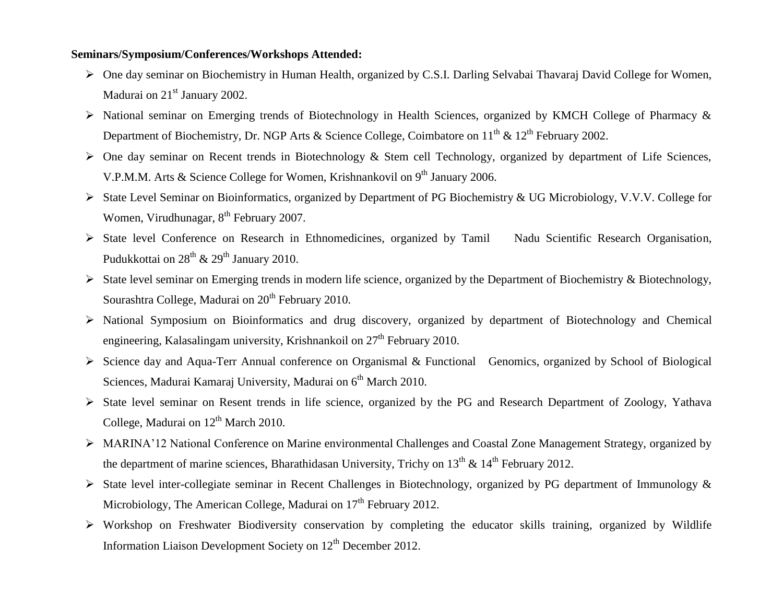#### **Seminars/Symposium/Conferences/Workshops Attended:**

- One day seminar on Biochemistry in Human Health, organized by C.S.I. Darling Selvabai Thavaraj David College for Women, Madurai on  $21<sup>st</sup>$  January 2002.
- > National seminar on Emerging trends of Biotechnology in Health Sciences, organized by KMCH College of Pharmacy & Department of Biochemistry, Dr. NGP Arts & Science College, Coimbatore on  $11^{th}$  &  $12^{th}$  February 2002.
- One day seminar on Recent trends in Biotechnology & Stem cell Technology, organized by department of Life Sciences, V.P.M.M. Arts & Science College for Women, Krishnankovil on  $9<sup>th</sup>$  January 2006.
- State Level Seminar on Bioinformatics, organized by Department of PG Biochemistry & UG Microbiology, V.V.V. College for Women, Virudhunagar, 8<sup>th</sup> February 2007.
- > State level Conference on Research in Ethnomedicines, organized by Tamil Nadu Scientific Research Organisation, Pudukkottai on  $28<sup>th</sup>$  &  $29<sup>th</sup>$  January 2010.
- $\triangleright$  State level seminar on Emerging trends in modern life science, organized by the Department of Biochemistry & Biotechnology, Sourashtra College, Madurai on  $20<sup>th</sup>$  February 2010.
- National Symposium on Bioinformatics and drug discovery, organized by department of Biotechnology and Chemical engineering, Kalasalingam university, Krishnankoil on  $27<sup>th</sup>$  February 2010.
- Science day and Aqua-Terr Annual conference on Organismal & Functional Genomics, organized by School of Biological Sciences, Madurai Kamaraj University, Madurai on 6<sup>th</sup> March 2010.
- State level seminar on Resent trends in life science, organized by the PG and Research Department of Zoology, Yathava College, Madurai on  $12<sup>th</sup>$  March 2010.
- MARINA"12 National Conference on Marine environmental Challenges and Coastal Zone Management Strategy, organized by the department of marine sciences, Bharathidasan University, Trichy on  $13<sup>th</sup>$  &  $14<sup>th</sup>$  February 2012.
- State level inter-collegiate seminar in Recent Challenges in Biotechnology, organized by PG department of Immunology & Microbiology, The American College, Madurai on  $17<sup>th</sup>$  February 2012.
- Workshop on Freshwater Biodiversity conservation by completing the educator skills training, organized by Wildlife Information Liaison Development Society on 12<sup>th</sup> December 2012.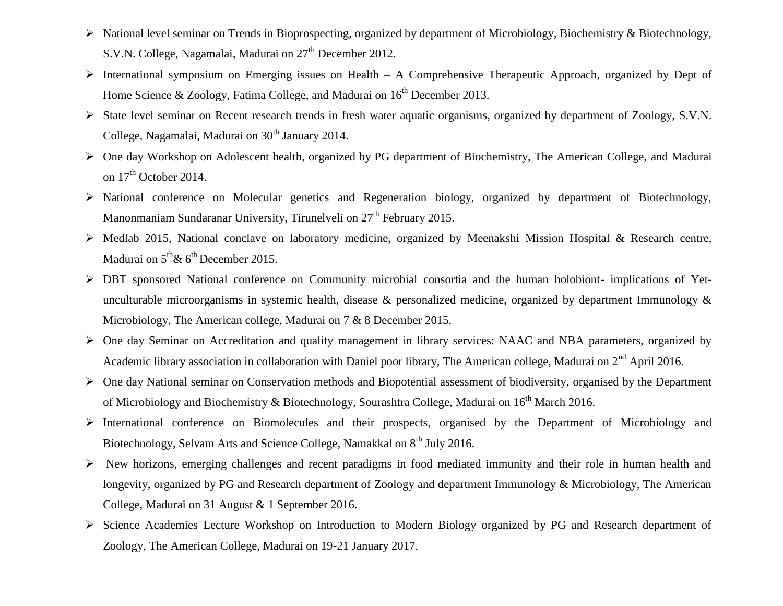- National level seminar on Trends in Bioprospecting, organized by department of Microbiology, Biochemistry & Biotechnology, S.V.N. College, Nagamalai, Madurai on  $27<sup>th</sup>$  December 2012.
- $\triangleright$  International symposium on Emerging issues on Health A Comprehensive Therapeutic Approach, organized by Dept of Home Science & Zoology, Fatima College, and Madurai on  $16<sup>th</sup>$  December 2013.
- State level seminar on Recent research trends in fresh water aquatic organisms, organized by department of Zoology, S.V.N. College, Nagamalai, Madurai on  $30<sup>th</sup>$  January 2014.
- One day Workshop on Adolescent health, organized by PG department of Biochemistry, The American College, and Madurai on  $17<sup>th</sup>$  October 2014.
- National conference on Molecular genetics and Regeneration biology, organized by department of Biotechnology, Manonmaniam Sundaranar University, Tirunelveli on  $27<sup>th</sup>$  February 2015.
- Medlab 2015, National conclave on laboratory medicine, organized by Meenakshi Mission Hospital & Research centre, Madurai on  $5<sup>th</sup> \& 6<sup>th</sup>$  December 2015.
- DBT sponsored National conference on Community microbial consortia and the human holobiont- implications of Yetunculturable microorganisms in systemic health, disease & personalized medicine, organized by department Immunology & Microbiology, The American college, Madurai on 7 & 8 December 2015.
- One day Seminar on Accreditation and quality management in library services: NAAC and NBA parameters, organized by Academic library association in collaboration with Daniel poor library, The American college, Madurai on  $2<sup>nd</sup>$  April 2016.
- One day National seminar on Conservation methods and Biopotential assessment of biodiversity, organised by the Department of Microbiology and Biochemistry & Biotechnology, Sourashtra College, Madurai on 16<sup>th</sup> March 2016.
- International conference on Biomolecules and their prospects, organised by the Department of Microbiology and Biotechnology, Selvam Arts and Science College, Namakkal on 8<sup>th</sup> July 2016.
- New horizons, emerging challenges and recent paradigms in food mediated immunity and their role in human health and longevity, organized by PG and Research department of Zoology and department Immunology & Microbiology, The American College, Madurai on 31 August & 1 September 2016.
- Science Academies Lecture Workshop on Introduction to Modern Biology organized by PG and Research department of Zoology, The American College, Madurai on 19-21 January 2017.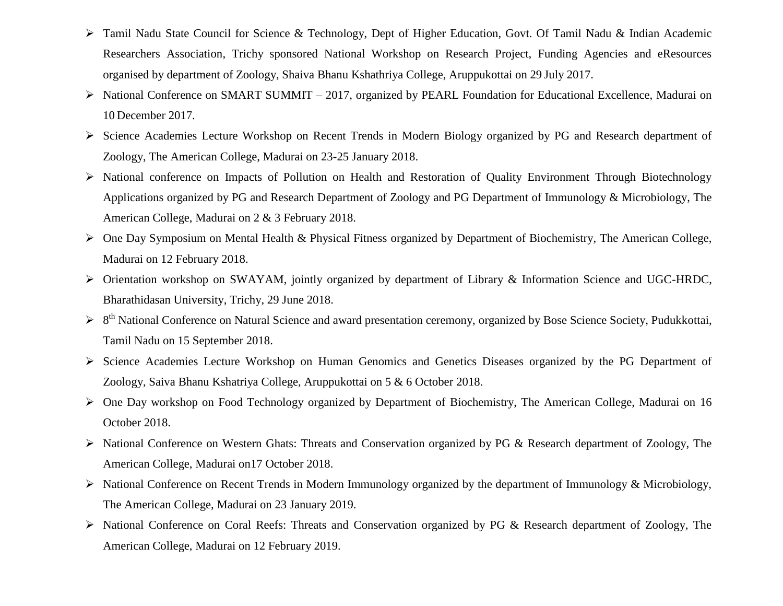- Tamil Nadu State Council for Science & Technology, Dept of Higher Education, Govt. Of Tamil Nadu & Indian Academic Researchers Association, Trichy sponsored National Workshop on Research Project, Funding Agencies and eResources organised by department of Zoology, Shaiva Bhanu Kshathriya College, Aruppukottai on 29 July 2017.
- $\triangleright$  National Conference on SMART SUMMIT 2017, organized by PEARL Foundation for Educational Excellence, Madurai on 10 December 2017.
- Science Academies Lecture Workshop on Recent Trends in Modern Biology organized by PG and Research department of Zoology, The American College, Madurai on 23-25 January 2018.
- National conference on Impacts of Pollution on Health and Restoration of Quality Environment Through Biotechnology Applications organized by PG and Research Department of Zoology and PG Department of Immunology & Microbiology, The American College, Madurai on 2 & 3 February 2018.
- One Day Symposium on Mental Health & Physical Fitness organized by Department of Biochemistry, The American College, Madurai on 12 February 2018.
- Orientation workshop on SWAYAM, jointly organized by department of Library & Information Science and UGC-HRDC, Bharathidasan University, Trichy, 29 June 2018.
- <sup>8th</sup> National Conference on Natural Science and award presentation ceremony, organized by Bose Science Society, Pudukkottai, Tamil Nadu on 15 September 2018.
- Science Academies Lecture Workshop on Human Genomics and Genetics Diseases organized by the PG Department of Zoology, Saiva Bhanu Kshatriya College, Aruppukottai on 5 & 6 October 2018.
- One Day workshop on Food Technology organized by Department of Biochemistry, The American College, Madurai on 16 October 2018.
- National Conference on Western Ghats: Threats and Conservation organized by PG & Research department of Zoology, The American College, Madurai on17 October 2018.
- National Conference on Recent Trends in Modern Immunology organized by the department of Immunology & Microbiology, The American College, Madurai on 23 January 2019.
- National Conference on Coral Reefs: Threats and Conservation organized by PG & Research department of Zoology, The American College, Madurai on 12 February 2019.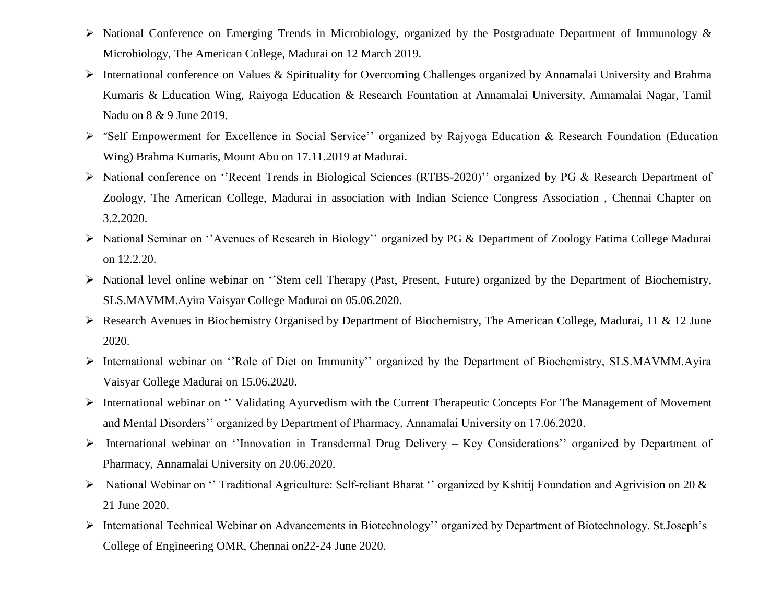- > National Conference on Emerging Trends in Microbiology, organized by the Postgraduate Department of Immunology & Microbiology, The American College, Madurai on 12 March 2019.
- International conference on Values & Spirituality for Overcoming Challenges organized by Annamalai University and Brahma Kumaris & Education Wing, Raiyoga Education & Research Fountation at Annamalai University, Annamalai Nagar, Tamil Nadu on 8 & 9 June 2019.
- > "Self Empowerment for Excellence in Social Service" organized by Rajyoga Education & Research Foundation (Education Wing) Brahma Kumaris, Mount Abu on 17.11.2019 at Madurai.
- National conference on ""Recent Trends in Biological Sciences (RTBS-2020)"" organized by PG & Research Department of Zoology, The American College, Madurai in association with Indian Science Congress Association , Chennai Chapter on 3.2.2020.
- > National Seminar on "Avenues of Research in Biology" organized by PG & Department of Zoology Fatima College Madurai on 12.2.20.
- National level online webinar on ""Stem cell Therapy (Past, Present, Future) organized by the Department of Biochemistry, SLS.MAVMM.Ayira Vaisyar College Madurai on 05.06.2020.
- Research Avenues in Biochemistry Organised by Department of Biochemistry, The American College, Madurai, 11 & 12 June 2020.
- International webinar on ""Role of Diet on Immunity"" organized by the Department of Biochemistry, SLS.MAVMM.Ayira Vaisyar College Madurai on 15.06.2020.
- > International webinar on " Validating Ayurvedism with the Current Therapeutic Concepts For The Management of Movement and Mental Disorders"" organized by Department of Pharmacy, Annamalai University on 17.06.2020.
- International webinar on ""Innovation in Transdermal Drug Delivery Key Considerations"" organized by Department of Pharmacy, Annamalai University on 20.06.2020.
- $\triangleright$  National Webinar on "Traditional Agriculture: Self-reliant Bharat " organized by Kshitij Foundation and Agrivision on 20  $\&$ 21 June 2020.
- International Technical Webinar on Advancements in Biotechnology"" organized by Department of Biotechnology. St.Joseph"s College of Engineering OMR, Chennai on22-24 June 2020.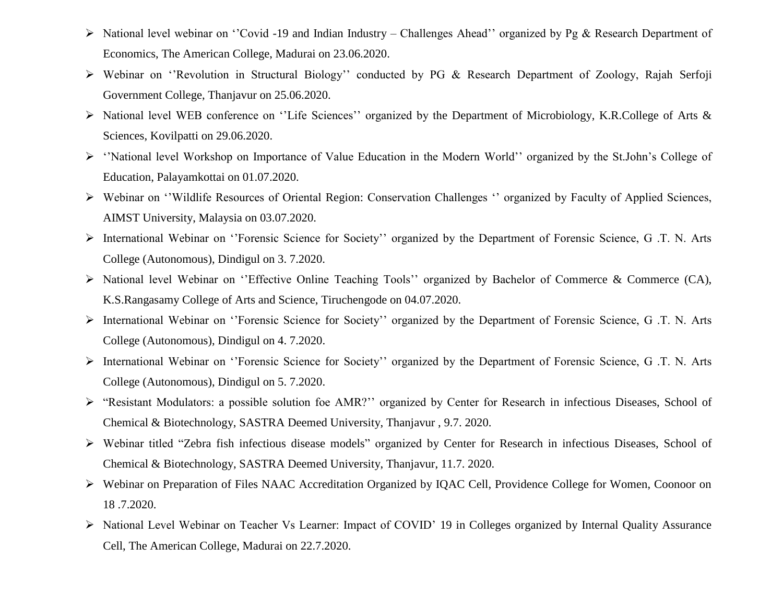- > National level webinar on "Covid -19 and Indian Industry Challenges Ahead" organized by Pg & Research Department of Economics, The American College, Madurai on 23.06.2020.
- > Webinar on "Revolution in Structural Biology" conducted by PG & Research Department of Zoology, Rajah Serfoji Government College, Thanjavur on 25.06.2020.
- > National level WEB conference on "Life Sciences" organized by the Department of Microbiology, K.R.College of Arts & Sciences, Kovilpatti on 29.06.2020.
- > "National level Workshop on Importance of Value Education in the Modern World" organized by the St.John's College of Education, Palayamkottai on 01.07.2020.
- > Webinar on "Wildlife Resources of Oriental Region: Conservation Challenges " organized by Faculty of Applied Sciences, AIMST University, Malaysia on 03.07.2020.
- International Webinar on ""Forensic Science for Society"" organized by the Department of Forensic Science, G .T. N. Arts College (Autonomous), Dindigul on 3. 7.2020.
- > National level Webinar on "Effective Online Teaching Tools" organized by Bachelor of Commerce & Commerce (CA), K.S.Rangasamy College of Arts and Science, Tiruchengode on 04.07.2020.
- International Webinar on ""Forensic Science for Society"" organized by the Department of Forensic Science, G .T. N. Arts College (Autonomous), Dindigul on 4. 7.2020.
- International Webinar on ""Forensic Science for Society"" organized by the Department of Forensic Science, G .T. N. Arts College (Autonomous), Dindigul on 5. 7.2020.
- > "Resistant Modulators: a possible solution foe AMR?" organized by Center for Research in infectious Diseases, School of Chemical & Biotechnology, SASTRA Deemed University, Thanjavur , 9.7. 2020.
- Webinar titled "Zebra fish infectious disease models" organized by Center for Research in infectious Diseases, School of Chemical & Biotechnology, SASTRA Deemed University, Thanjavur, 11.7. 2020.
- Webinar on Preparation of Files NAAC Accreditation Organized by IQAC Cell, Providence College for Women, Coonoor on 18 .7.2020.
- > National Level Webinar on Teacher Vs Learner: Impact of COVID' 19 in Colleges organized by Internal Quality Assurance Cell, The American College, Madurai on 22.7.2020.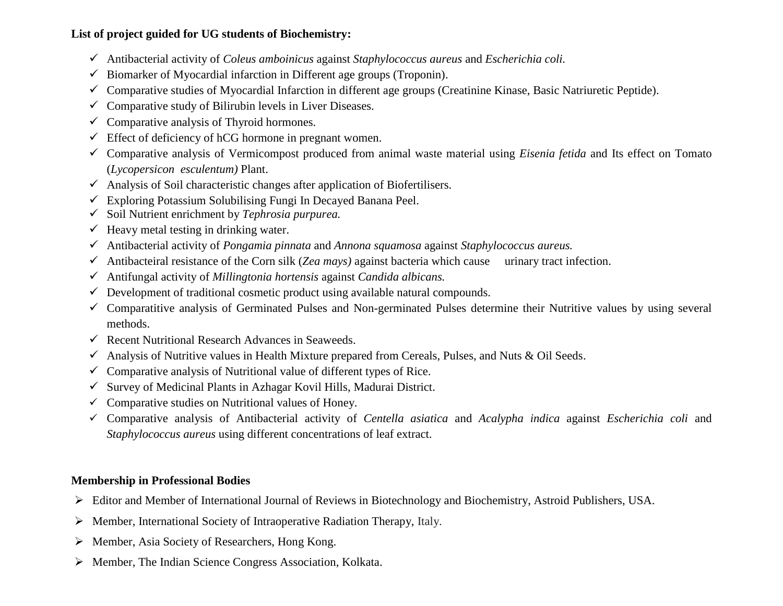# **List of project guided for UG students of Biochemistry:**

- Antibacterial activity of *Coleus amboinicus* against *Staphylococcus aureus* and *Escherichia coli.*
- $\checkmark$  Biomarker of Myocardial infarction in Different age groups (Troponin).
- $\checkmark$  Comparative studies of Myocardial Infarction in different age groups (Creatinine Kinase, Basic Natriuretic Peptide).
- $\checkmark$  Comparative study of Bilirubin levels in Liver Diseases.
- $\checkmark$  Comparative analysis of Thyroid hormones.
- $\checkmark$  Effect of deficiency of hCG hormone in pregnant women.
- Comparative analysis of Vermicompost produced from animal waste material using *Eisenia fetida* and Its effect on Tomato (*Lycopersicon esculentum)* Plant.
- $\checkmark$  Analysis of Soil characteristic changes after application of Biofertilisers.
- $\checkmark$  Exploring Potassium Solubilising Fungi In Decayed Banana Peel.
- Soil Nutrient enrichment by *Tephrosia purpurea.*
- $\checkmark$  Heavy metal testing in drinking water.
- Antibacterial activity of *Pongamia pinnata* and *Annona squamosa* against *Staphylococcus aureus.*
- Antibacteiral resistance of the Corn silk (*Zea mays)* against bacteria which cause urinary tract infection.
- Antifungal activity of *Millingtonia hortensis* against *Candida albicans.*
- $\checkmark$  Development of traditional cosmetic product using available natural compounds.
- $\checkmark$  Comparatitive analysis of Germinated Pulses and Non-germinated Pulses determine their Nutritive values by using several methods.
- $\checkmark$  Recent Nutritional Research Advances in Seaweeds.
- $\checkmark$  Analysis of Nutritive values in Health Mixture prepared from Cereals, Pulses, and Nuts & Oil Seeds.
- $\checkmark$  Comparative analysis of Nutritional value of different types of Rice.
- $\checkmark$  Survey of Medicinal Plants in Azhagar Kovil Hills, Madurai District.
- $\checkmark$  Comparative studies on Nutritional values of Honey.
- Comparative analysis of Antibacterial activity of *Centella asiatica* and *Acalypha indica* against *Escherichia coli* and *Staphylococcus aureus* using different concentrations of leaf extract.

# **Membership in Professional Bodies**

- Editor and Member of International Journal of Reviews in Biotechnology and Biochemistry, Astroid Publishers, USA.
- Member, International Society of Intraoperative Radiation Therapy, Italy.
- Member, Asia Society of Researchers, Hong Kong.
- Member, The Indian Science Congress Association, Kolkata.